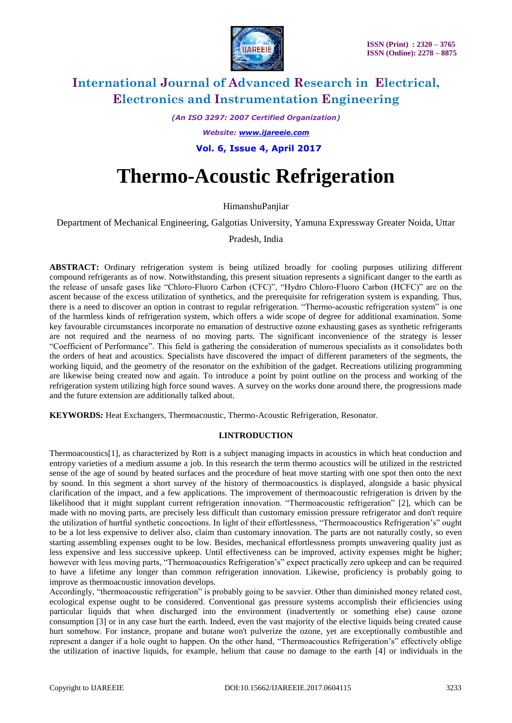

*(An ISO 3297: 2007 Certified Organization)*

*Website: [www.ijareeie.com](http://www.ijareeie.com/)*

 **Vol. 6, Issue 4, April 2017**

# **Thermo-Acoustic Refrigeration**

HimanshuPanjiar

Department of Mechanical Engineering, Galgotias University, Yamuna Expressway Greater Noida, Uttar

Pradesh, India

**ABSTRACT:** Ordinary refrigeration system is being utilized broadly for cooling purposes utilizing different compound refrigerants as of now. Notwithstanding, this present situation represents a significant danger to the earth as the release of unsafe gases like "Chloro-Fluoro Carbon (CFC)", "Hydro Chloro-Fluoro Carbon (HCFC)" are on the ascent because of the excess utilization of synthetics, and the prerequisite for refrigeration system is expanding. Thus, there is a need to discover an option in contrast to regular refrigeration. "Thermo-acoustic refrigeration system" is one of the harmless kinds of refrigeration system, which offers a wide scope of degree for additional examination. Some key favourable circumstances incorporate no emanation of destructive ozone exhausting gases as synthetic refrigerants are not required and the nearness of no moving parts. The significant inconvenience of the strategy is lesser "Coefficient of Performance". This field is gathering the consideration of numerous specialists as it consolidates both the orders of heat and acoustics. Specialists have discovered the impact of different parameters of the segments, the working liquid, and the geometry of the resonator on the exhibition of the gadget. Recreations utilizing programming are likewise being created now and again. To introduce a point by point outline on the process and working of the refrigeration system utilizing high force sound waves. A survey on the works done around there, the progressions made and the future extension are additionally talked about.

**KEYWORDS***:* Heat Exchangers, Thermoacoustic, Thermo-Acoustic Refrigeration, Resonator.

### **I.INTRODUCTION**

Thermoacoustics[1], as characterized by Rott is a subject managing impacts in acoustics in which heat conduction and entropy varieties of a medium assume a job. In this research the term thermo acoustics will be utilized in the restricted sense of the age of sound by heated surfaces and the procedure of heat move starting with one spot then onto the next by sound. In this segment a short survey of the history of thermoacoustics is displayed, alongside a basic physical clarification of the impact, and a few applications. The improvement of thermoacoustic refrigeration is driven by the likelihood that it might supplant current refrigeration innovation. "Thermoacoustic refrigeration" [2], which can be made with no moving parts, are precisely less difficult than customary emission pressure refrigerator and don't require the utilization of hurtful synthetic concoctions. In light of their effortlessness, "Thermoacoustics Refrigeration's" ought to be a lot less expensive to deliver also, claim than customary innovation. The parts are not naturally costly, so even starting assembling expenses ought to be low. Besides, mechanical effortlessness prompts unwavering quality just as less expensive and less successive upkeep. Until effectiveness can be improved, activity expenses might be higher; however with less moving parts, "Thermoacoustics Refrigeration's" expect practically zero upkeep and can be required to have a lifetime any longer than common refrigeration innovation. Likewise, proficiency is probably going to improve as thermoacoustic innovation develops.

Accordingly, "thermoacoustic refrigeration" is probably going to be savvier. Other than diminished money related cost, ecological expense ought to be considered. Conventional gas pressure systems accomplish their efficiencies using particular liquids that when discharged into the environment (inadvertently or something else) cause ozone consumption [3] or in any case hurt the earth. Indeed, even the vast majority of the elective liquids being created cause hurt somehow. For instance, propane and butane won't pulverize the ozone, yet are exceptionally combustible and represent a danger if a hole ought to happen. On the other hand, "Thermoacoustics Refrigeration's" effectively oblige the utilization of inactive liquids, for example, helium that cause no damage to the earth [4] or individuals in the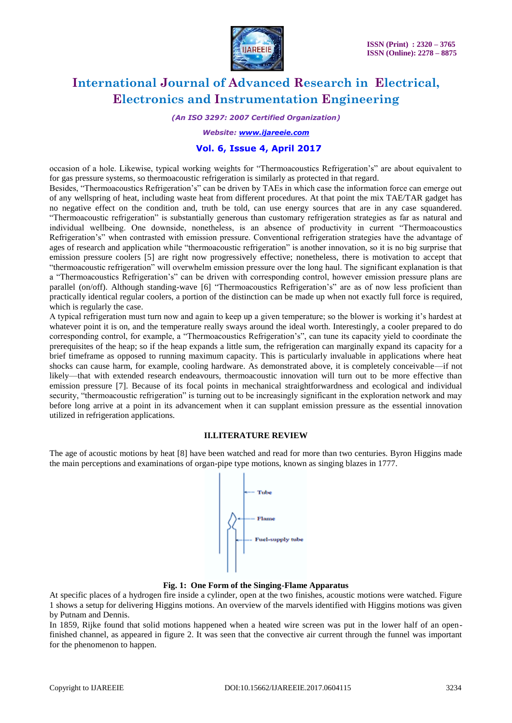

*(An ISO 3297: 2007 Certified Organization)*

*Website: [www.ijareeie.com](http://www.ijareeie.com/)*

### **Vol. 6, Issue 4, April 2017**

occasion of a hole. Likewise, typical working weights for "Thermoacoustics Refrigeration's" are about equivalent to for gas pressure systems, so thermoacoustic refrigeration is similarly as protected in that regard.

Besides, "Thermoacoustics Refrigeration's" can be driven by TAEs in which case the information force can emerge out of any wellspring of heat, including waste heat from different procedures. At that point the mix TAE/TAR gadget has no negative effect on the condition and, truth be told, can use energy sources that are in any case squandered. "Thermoacoustic refrigeration" is substantially generous than customary refrigeration strategies as far as natural and individual wellbeing. One downside, nonetheless, is an absence of productivity in current "Thermoacoustics Refrigeration's" when contrasted with emission pressure. Conventional refrigeration strategies have the advantage of ages of research and application while "thermoacoustic refrigeration" is another innovation, so it is no big surprise that emission pressure coolers [5] are right now progressively effective; nonetheless, there is motivation to accept that "thermoacoustic refrigeration" will overwhelm emission pressure over the long haul. The significant explanation is that a "Thermoacoustics Refrigeration's" can be driven with corresponding control, however emission pressure plans are parallel (on/off). Although standing-wave [6] "Thermoacoustics Refrigeration's" are as of now less proficient than practically identical regular coolers, a portion of the distinction can be made up when not exactly full force is required, which is regularly the case.

A typical refrigeration must turn now and again to keep up a given temperature; so the blower is working it's hardest at whatever point it is on, and the temperature really sways around the ideal worth. Interestingly, a cooler prepared to do corresponding control, for example, a "Thermoacoustics Refrigeration's", can tune its capacity yield to coordinate the prerequisites of the heap; so if the heap expands a little sum, the refrigeration can marginally expand its capacity for a brief timeframe as opposed to running maximum capacity. This is particularly invaluable in applications where heat shocks can cause harm, for example, cooling hardware. As demonstrated above, it is completely conceivable—if not likely—that with extended research endeavours, thermoacoustic innovation will turn out to be more effective than emission pressure [7]. Because of its focal points in mechanical straightforwardness and ecological and individual security, "thermoacoustic refrigeration" is turning out to be increasingly significant in the exploration network and may before long arrive at a point in its advancement when it can supplant emission pressure as the essential innovation utilized in refrigeration applications.

#### **II.LITERATURE REVIEW**

The age of acoustic motions by heat [8] have been watched and read for more than two centuries. Byron Higgins made the main perceptions and examinations of organ-pipe type motions, known as singing blazes in 1777.



#### **Fig. 1: One Form of the Singing-Flame Apparatus**

At specific places of a hydrogen fire inside a cylinder, open at the two finishes, acoustic motions were watched. Figure 1 shows a setup for delivering Higgins motions. An overview of the marvels identified with Higgins motions was given by Putnam and Dennis.

In 1859, Rijke found that solid motions happened when a heated wire screen was put in the lower half of an openfinished channel, as appeared in figure 2. It was seen that the convective air current through the funnel was important for the phenomenon to happen.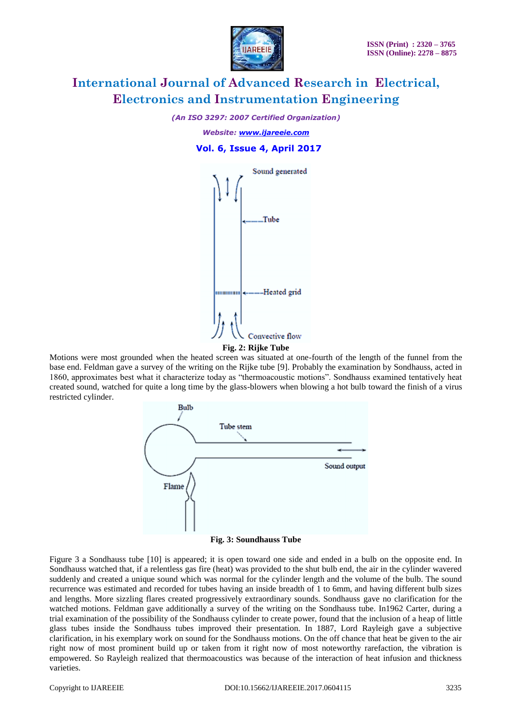

*(An ISO 3297: 2007 Certified Organization)*

*Website: [www.ijareeie.com](http://www.ijareeie.com/)*  **Vol. 6, Issue 4, April 2017**



**Fig. 2: Rijke Tube**

Motions were most grounded when the heated screen was situated at one-fourth of the length of the funnel from the base end. Feldman gave a survey of the writing on the Rijke tube [9]. Probably the examination by Sondhauss, acted in 1860, approximates best what it characterize today as "thermoacoustic motions". Sondhauss examined tentatively heat created sound, watched for quite a long time by the glass-blowers when blowing a hot bulb toward the finish of a virus restricted cylinder.





Figure 3 a Sondhauss tube [10] is appeared; it is open toward one side and ended in a bulb on the opposite end. In Sondhauss watched that, if a relentless gas fire (heat) was provided to the shut bulb end, the air in the cylinder wavered suddenly and created a unique sound which was normal for the cylinder length and the volume of the bulb. The sound recurrence was estimated and recorded for tubes having an inside breadth of 1 to 6mm, and having different bulb sizes and lengths. More sizzling flares created progressively extraordinary sounds. Sondhauss gave no clarification for the watched motions. Feldman gave additionally a survey of the writing on the Sondhauss tube. In1962 Carter, during a trial examination of the possibility of the Sondhauss cylinder to create power, found that the inclusion of a heap of little glass tubes inside the Sondhauss tubes improved their presentation. In 1887, Lord Rayleigh gave a subjective clarification, in his exemplary work on sound for the Sondhauss motions. On the off chance that heat be given to the air right now of most prominent build up or taken from it right now of most noteworthy rarefaction, the vibration is empowered. So Rayleigh realized that thermoacoustics was because of the interaction of heat infusion and thickness varieties.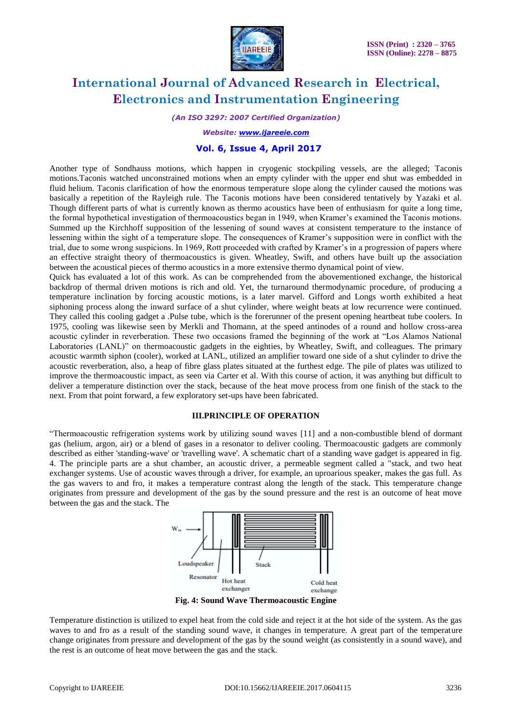

*(An ISO 3297: 2007 Certified Organization)*

*Website: [www.ijareeie.com](http://www.ijareeie.com/)*

#### **Vol. 6, Issue 4, April 2017**

Another type of Sondhauss motions, which happen in cryogenic stockpiling vessels, are the alleged; Taconis motions.Taconis watched unconstrained motions when an empty cylinder with the upper end shut was embedded in fluid helium. Taconis clarification of how the enormous temperature slope along the cylinder caused the motions was basically a repetition of the Rayleigh rule. The Taconis motions have been considered tentatively by Yazaki et al. Though different parts of what is currently known as thermo acoustics have been of enthusiasm for quite a long time, the formal hypothetical investigation of thermoacoustics began in 1949, when Kramer's examined the Taconis motions. Summed up the Kirchhoff supposition of the lessening of sound waves at consistent temperature to the instance of lessening within the sight of a temperature slope. The consequences of Kramer's supposition were in conflict with the trial, due to some wrong suspicions. In 1969, Rott proceeded with crafted by Kramer's in a progression of papers where an effective straight theory of thermoacoustics is given. Wheatley, Swift, and others have built up the association between the acoustical pieces of thermo acoustics in a more extensive thermo dynamical point of view.

Quick has evaluated a lot of this work. As can be comprehended from the abovementioned exchange, the historical backdrop of thermal driven motions is rich and old. Yet, the turnaround thermodynamic procedure, of producing a temperature inclination by forcing acoustic motions, is a later marvel. Gifford and Longs worth exhibited a heat siphoning process along the inward surface of a shut cylinder, where weight beats at low recurrence were continued. They called this cooling gadget a .Pulse tube, which is the forerunner of the present opening heartbeat tube coolers. In 1975, cooling was likewise seen by Merkli and Thomann, at the speed antinodes of a round and hollow cross-area acoustic cylinder in reverberation. These two occasions framed the beginning of the work at "Los Alamos National Laboratories (LANL)" on thermoacoustic gadgets in the eighties, by Wheatley, Swift, and colleagues. The primary acoustic warmth siphon (cooler), worked at LANL, utilized an amplifier toward one side of a shut cylinder to drive the acoustic reverberation, also, a heap of fibre glass plates situated at the furthest edge. The pile of plates was utilized to improve the thermoacoustic impact, as seen via Carter et al. With this course of action, it was anything but difficult to deliver a temperature distinction over the stack, because of the heat move process from one finish of the stack to the next. From that point forward, a few exploratory set-ups have been fabricated.

#### **III.PRINCIPLE OF OPERATION**

"Thermoacoustic refrigeration systems work by utilizing sound waves [11] and a non-combustible blend of dormant gas (helium, argon, air) or a blend of gases in a resonator to deliver cooling. Thermoacoustic gadgets are commonly described as either 'standing-wave' or 'travelling wave'. A schematic chart of a standing wave gadget is appeared in fig. 4. The principle parts are a shut chamber, an acoustic driver, a permeable segment called a "stack, and two heat exchanger systems. Use of acoustic waves through a driver, for example, an uproarious speaker, makes the gas full. As the gas wavers to and fro, it makes a temperature contrast along the length of the stack. This temperature change originates from pressure and development of the gas by the sound pressure and the rest is an outcome of heat move between the gas and the stack. The



**Fig. 4: Sound Wave Thermoacoustic Engine**

Temperature distinction is utilized to expel heat from the cold side and reject it at the hot side of the system. As the gas waves to and fro as a result of the standing sound wave, it changes in temperature. A great part of the temperature change originates from pressure and development of the gas by the sound weight (as consistently in a sound wave), and the rest is an outcome of heat move between the gas and the stack.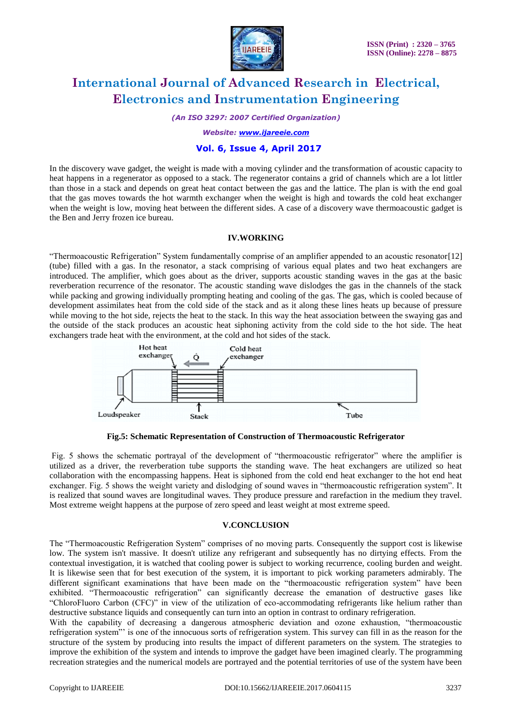

*(An ISO 3297: 2007 Certified Organization)*

*Website: [www.ijareeie.com](http://www.ijareeie.com/)*

#### **Vol. 6, Issue 4, April 2017**

In the discovery wave gadget, the weight is made with a moving cylinder and the transformation of acoustic capacity to heat happens in a regenerator as opposed to a stack. The regenerator contains a grid of channels which are a lot littler than those in a stack and depends on great heat contact between the gas and the lattice. The plan is with the end goal that the gas moves towards the hot warmth exchanger when the weight is high and towards the cold heat exchanger when the weight is low, moving heat between the different sides. A case of a discovery wave thermoacoustic gadget is the Ben and Jerry frozen ice bureau.

#### **IV.WORKING**

"Thermoacoustic Refrigeration" System fundamentally comprise of an amplifier appended to an acoustic resonator[12] (tube) filled with a gas. In the resonator, a stack comprising of various equal plates and two heat exchangers are introduced. The amplifier, which goes about as the driver, supports acoustic standing waves in the gas at the basic reverberation recurrence of the resonator. The acoustic standing wave dislodges the gas in the channels of the stack while packing and growing individually prompting heating and cooling of the gas. The gas, which is cooled because of development assimilates heat from the cold side of the stack and as it along these lines heats up because of pressure while moving to the hot side, rejects the heat to the stack. In this way the heat association between the swaying gas and the outside of the stack produces an acoustic heat siphoning activity from the cold side to the hot side. The heat exchangers trade heat with the environment, at the cold and hot sides of the stack.



**Fig.5: Schematic Representation of Construction of Thermoacoustic Refrigerator**

Fig. 5 shows the schematic portrayal of the development of "thermoacoustic refrigerator" where the amplifier is utilized as a driver, the reverberation tube supports the standing wave. The heat exchangers are utilized so heat collaboration with the encompassing happens. Heat is siphoned from the cold end heat exchanger to the hot end heat exchanger. Fig. 5 shows the weight variety and dislodging of sound waves in "thermoacoustic refrigeration system". It is realized that sound waves are longitudinal waves. They produce pressure and rarefaction in the medium they travel. Most extreme weight happens at the purpose of zero speed and least weight at most extreme speed.

#### **V.CONCLUSION**

The "Thermoacoustic Refrigeration System" comprises of no moving parts. Consequently the support cost is likewise low. The system isn't massive. It doesn't utilize any refrigerant and subsequently has no dirtying effects. From the contextual investigation, it is watched that cooling power is subject to working recurrence, cooling burden and weight. It is likewise seen that for best execution of the system, it is important to pick working parameters admirably. The different significant examinations that have been made on the "thermoacoustic refrigeration system" have been exhibited. "Thermoacoustic refrigeration" can significantly decrease the emanation of destructive gases like "ChloroFluoro Carbon (CFC)" in view of the utilization of eco-accommodating refrigerants like helium rather than destructive substance liquids and consequently can turn into an option in contrast to ordinary refrigeration.

With the capability of decreasing a dangerous atmospheric deviation and ozone exhaustion, "thermoacoustic refrigeration system"' is one of the innocuous sorts of refrigeration system. This survey can fill in as the reason for the structure of the system by producing into results the impact of different parameters on the system. The strategies to improve the exhibition of the system and intends to improve the gadget have been imagined clearly. The programming recreation strategies and the numerical models are portrayed and the potential territories of use of the system have been